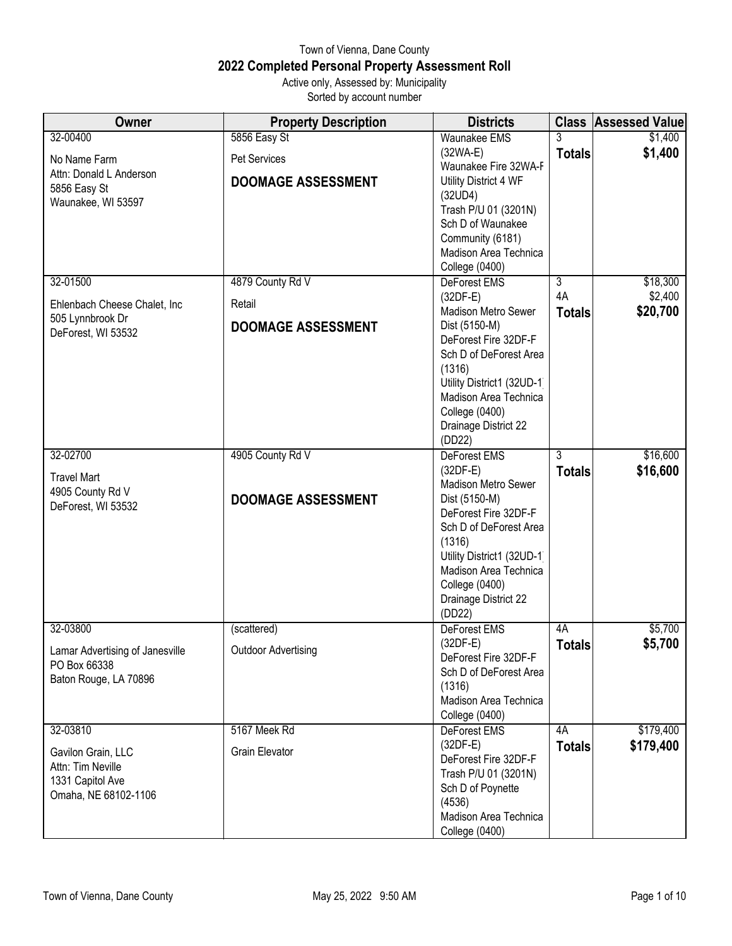## Town of Vienna, Dane County **2022 Completed Personal Property Assessment Roll** Active only, Assessed by: Municipality

Sorted by account number

| Owner                                                                               | <b>Property Description</b>  | <b>Districts</b>                                                                                                                                                                                                          |                     | <b>Class Assessed Value</b> |
|-------------------------------------------------------------------------------------|------------------------------|---------------------------------------------------------------------------------------------------------------------------------------------------------------------------------------------------------------------------|---------------------|-----------------------------|
| 32-00400<br>No Name Farm                                                            | 5856 Easy St<br>Pet Services | <b>Waunakee EMS</b><br>$(32WA-E)$                                                                                                                                                                                         | <b>Totals</b>       | \$1,400<br>\$1,400          |
| Attn: Donald L Anderson<br>5856 Easy St<br>Waunakee, WI 53597                       | <b>DOOMAGE ASSESSMENT</b>    | Waunakee Fire 32WA-F<br>Utility District 4 WF<br>(32UD4)<br>Trash P/U 01 (3201N)<br>Sch D of Waunakee<br>Community (6181)<br>Madison Area Technica<br>College (0400)                                                      |                     |                             |
| 32-01500                                                                            | 4879 County Rd V             | DeForest EMS                                                                                                                                                                                                              | $\overline{3}$      | \$18,300                    |
| Ehlenbach Cheese Chalet, Inc                                                        | Retail                       | $(32DF-E)$<br><b>Madison Metro Sewer</b>                                                                                                                                                                                  | 4A<br><b>Totals</b> | \$2,400<br>\$20,700         |
| 505 Lynnbrook Dr<br>DeForest, WI 53532                                              | <b>DOOMAGE ASSESSMENT</b>    | Dist (5150-M)<br>DeForest Fire 32DF-F<br>Sch D of DeForest Area<br>(1316)<br>Utility District1 (32UD-1)<br>Madison Area Technica<br><b>College (0400)</b><br>Drainage District 22<br>(DD22)                               |                     |                             |
| 32-02700                                                                            | 4905 County Rd V             | DeForest EMS<br>$(32DF-E)$                                                                                                                                                                                                | 3                   | \$16,600                    |
| <b>Travel Mart</b><br>4905 County Rd V<br>DeForest, WI 53532                        | <b>DOOMAGE ASSESSMENT</b>    | <b>Madison Metro Sewer</b><br>Dist (5150-M)<br>DeForest Fire 32DF-F<br>Sch D of DeForest Area<br>(1316)<br>Utility District1 (32UD-1)<br>Madison Area Technica<br><b>College (0400)</b><br>Drainage District 22<br>(DD22) | <b>Totals</b>       | \$16,600                    |
| 32-03800                                                                            | (scattered)                  | <b>DeForest EMS</b>                                                                                                                                                                                                       | 4A                  | \$5,700                     |
| Lamar Advertising of Janesville<br>PO Box 66338<br>Baton Rouge, LA 70896            | <b>Outdoor Advertising</b>   | $(32DF-E)$<br>DeForest Fire 32DF-F<br>Sch D of DeForest Area<br>(1316)<br>Madison Area Technica<br>College (0400)                                                                                                         | <b>Totals</b>       | \$5,700                     |
| 32-03810                                                                            | 5167 Meek Rd                 | DeForest EMS                                                                                                                                                                                                              | 4A                  | \$179,400                   |
| Gavilon Grain, LLC<br>Attn: Tim Neville<br>1331 Capitol Ave<br>Omaha, NE 68102-1106 | <b>Grain Elevator</b>        | $(32DF-E)$<br>DeForest Fire 32DF-F<br>Trash P/U 01 (3201N)<br>Sch D of Poynette<br>(4536)<br>Madison Area Technica<br><b>College (0400)</b>                                                                               | <b>Totals</b>       | \$179,400                   |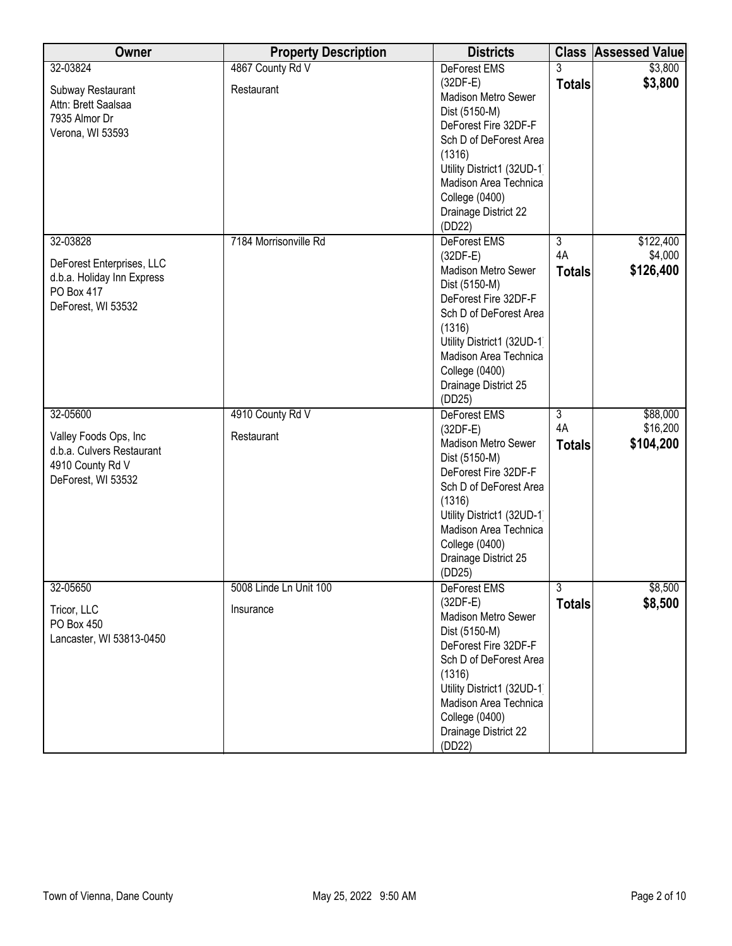| Owner                      | <b>Property Description</b> | <b>Districts</b>                      |                | <b>Class Assessed Value</b> |
|----------------------------|-----------------------------|---------------------------------------|----------------|-----------------------------|
| 32-03824                   | 4867 County Rd V            | <b>DeForest EMS</b>                   | 3              | \$3,800                     |
| Subway Restaurant          | Restaurant                  | $(32DF-E)$                            | <b>Totals</b>  | \$3,800                     |
| Attn: Brett Saalsaa        |                             | Madison Metro Sewer                   |                |                             |
| 7935 Almor Dr              |                             | Dist (5150-M)                         |                |                             |
| Verona, WI 53593           |                             | DeForest Fire 32DF-F                  |                |                             |
|                            |                             | Sch D of DeForest Area                |                |                             |
|                            |                             | (1316)<br>Utility District1 (32UD-1)  |                |                             |
|                            |                             | Madison Area Technica                 |                |                             |
|                            |                             | <b>College (0400)</b>                 |                |                             |
|                            |                             | Drainage District 22                  |                |                             |
|                            |                             | (DD22)                                |                |                             |
| 32-03828                   | 7184 Morrisonville Rd       | <b>DeForest EMS</b>                   | $\overline{3}$ | \$122,400                   |
|                            |                             | $(32DF-E)$                            | 4A             | \$4,000                     |
| DeForest Enterprises, LLC  |                             | <b>Madison Metro Sewer</b>            | <b>Totals</b>  | \$126,400                   |
| d.b.a. Holiday Inn Express |                             | Dist (5150-M)                         |                |                             |
| PO Box 417                 |                             | DeForest Fire 32DF-F                  |                |                             |
| DeForest, WI 53532         |                             | Sch D of DeForest Area                |                |                             |
|                            |                             | (1316)                                |                |                             |
|                            |                             | Utility District1 (32UD-1)            |                |                             |
|                            |                             | Madison Area Technica                 |                |                             |
|                            |                             | <b>College (0400)</b>                 |                |                             |
|                            |                             | Drainage District 25                  |                |                             |
|                            |                             | (DD25)                                |                |                             |
| 32-05600                   | 4910 County Rd V            | <b>DeForest EMS</b>                   | $\overline{3}$ | \$88,000                    |
| Valley Foods Ops, Inc      | Restaurant                  | $(32DF-E)$                            | 4A             | \$16,200                    |
| d.b.a. Culvers Restaurant  |                             | Madison Metro Sewer                   | <b>Totals</b>  | \$104,200                   |
| 4910 County Rd V           |                             | Dist (5150-M)<br>DeForest Fire 32DF-F |                |                             |
| DeForest, WI 53532         |                             | Sch D of DeForest Area                |                |                             |
|                            |                             | (1316)                                |                |                             |
|                            |                             | Utility District1 (32UD-1)            |                |                             |
|                            |                             | Madison Area Technica                 |                |                             |
|                            |                             | <b>College (0400)</b>                 |                |                             |
|                            |                             | Drainage District 25                  |                |                             |
|                            |                             | (DD25)                                |                |                             |
| 32-05650                   | 5008 Linde Ln Unit 100      | DeForest EMS                          | $\overline{3}$ | \$8,500                     |
| Tricor, LLC                | Insurance                   | $(32DF-E)$                            | <b>Totals</b>  | \$8,500                     |
| PO Box 450                 |                             | Madison Metro Sewer                   |                |                             |
| Lancaster, WI 53813-0450   |                             | Dist (5150-M)                         |                |                             |
|                            |                             | DeForest Fire 32DF-F                  |                |                             |
|                            |                             | Sch D of DeForest Area                |                |                             |
|                            |                             | (1316)                                |                |                             |
|                            |                             | Utility District1 (32UD-1)            |                |                             |
|                            |                             | Madison Area Technica                 |                |                             |
|                            |                             | <b>College (0400)</b>                 |                |                             |
|                            |                             | Drainage District 22<br>(DD22)        |                |                             |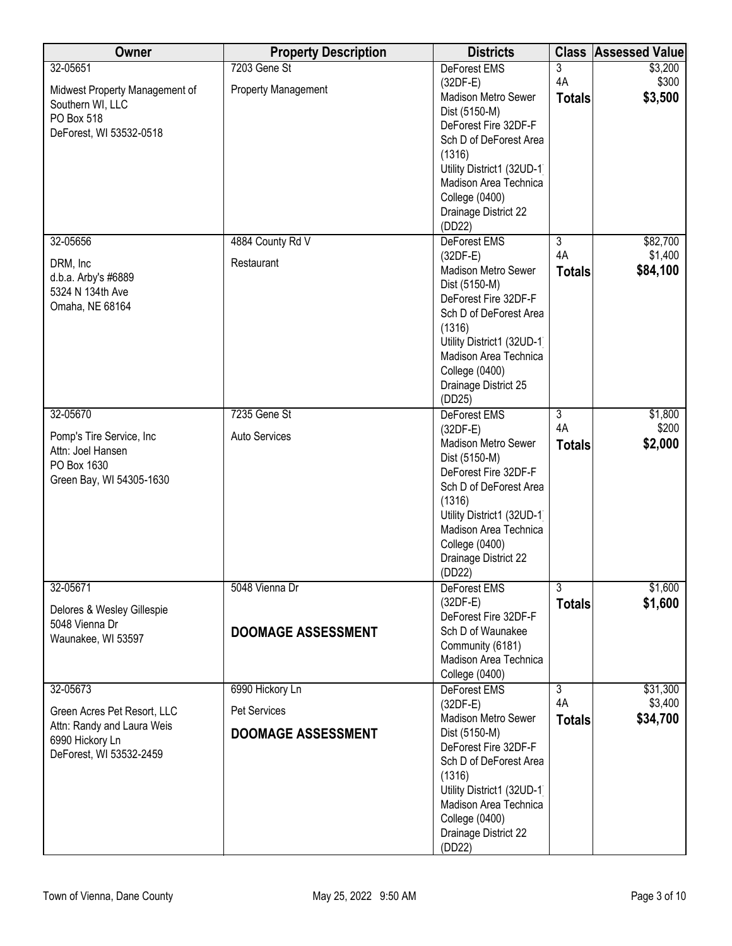| Owner                                                     | <b>Property Description</b> | <b>Districts</b>                               |                | <b>Class Assessed Value</b> |
|-----------------------------------------------------------|-----------------------------|------------------------------------------------|----------------|-----------------------------|
| 32-05651                                                  | 7203 Gene St                | <b>DeForest EMS</b>                            | $\overline{3}$ | \$3,200                     |
| Midwest Property Management of                            | Property Management         | $(32DF-E)$<br>Madison Metro Sewer              | 4A             | \$300<br>\$3,500            |
| Southern WI, LLC                                          |                             | Dist (5150-M)                                  | <b>Totals</b>  |                             |
| PO Box 518                                                |                             | DeForest Fire 32DF-F                           |                |                             |
| DeForest, WI 53532-0518                                   |                             | Sch D of DeForest Area                         |                |                             |
|                                                           |                             | (1316)                                         |                |                             |
|                                                           |                             | Utility District1 (32UD-1)                     |                |                             |
|                                                           |                             | Madison Area Technica<br><b>College (0400)</b> |                |                             |
|                                                           |                             | Drainage District 22                           |                |                             |
|                                                           |                             | (DD22)                                         |                |                             |
| 32-05656                                                  | 4884 County Rd V            | DeForest EMS                                   | $\overline{3}$ | \$82,700                    |
| DRM, Inc                                                  | Restaurant                  | $(32DF-E)$                                     | 4A             | \$1,400                     |
| d.b.a. Arby's #6889                                       |                             | <b>Madison Metro Sewer</b>                     | <b>Totals</b>  | \$84,100                    |
| 5324 N 134th Ave                                          |                             | Dist (5150-M)                                  |                |                             |
| Omaha, NE 68164                                           |                             | DeForest Fire 32DF-F<br>Sch D of DeForest Area |                |                             |
|                                                           |                             | (1316)                                         |                |                             |
|                                                           |                             | Utility District1 (32UD-1)                     |                |                             |
|                                                           |                             | Madison Area Technica                          |                |                             |
|                                                           |                             | <b>College (0400)</b>                          |                |                             |
|                                                           |                             | Drainage District 25                           |                |                             |
| 32-05670                                                  | 7235 Gene St                | (DD25)<br>DeForest EMS                         | $\overline{3}$ | \$1,800                     |
|                                                           |                             | $(32DF-E)$                                     | 4A             | \$200                       |
| Pomp's Tire Service, Inc.<br>Attn: Joel Hansen            | Auto Services               | <b>Madison Metro Sewer</b>                     | <b>Totals</b>  | \$2,000                     |
| PO Box 1630                                               |                             | Dist (5150-M)                                  |                |                             |
| Green Bay, WI 54305-1630                                  |                             | DeForest Fire 32DF-F                           |                |                             |
|                                                           |                             | Sch D of DeForest Area<br>(1316)               |                |                             |
|                                                           |                             | Utility District1 (32UD-1                      |                |                             |
|                                                           |                             | Madison Area Technica                          |                |                             |
|                                                           |                             | <b>College (0400)</b>                          |                |                             |
|                                                           |                             | Drainage District 22                           |                |                             |
| 32-05671                                                  | 5048 Vienna Dr              | (DD22)<br>DeForest EMS                         | $\overline{3}$ | \$1,600                     |
|                                                           |                             | $(32DF-E)$                                     | <b>Totals</b>  | \$1,600                     |
| Delores & Wesley Gillespie                                |                             | DeForest Fire 32DF-F                           |                |                             |
| 5048 Vienna Dr<br>Waunakee, WI 53597                      | <b>DOOMAGE ASSESSMENT</b>   | Sch D of Waunakee                              |                |                             |
|                                                           |                             | Community (6181)                               |                |                             |
|                                                           |                             | Madison Area Technica<br><b>College (0400)</b> |                |                             |
| 32-05673                                                  | 6990 Hickory Ln             | <b>DeForest EMS</b>                            | $\overline{3}$ | \$31,300                    |
|                                                           |                             | $(32DF-E)$                                     | 4A             | \$3,400                     |
| Green Acres Pet Resort, LLC<br>Attn: Randy and Laura Weis | Pet Services                | Madison Metro Sewer                            | <b>Totals</b>  | \$34,700                    |
| 6990 Hickory Ln                                           | <b>DOOMAGE ASSESSMENT</b>   | Dist (5150-M)                                  |                |                             |
| DeForest, WI 53532-2459                                   |                             | DeForest Fire 32DF-F<br>Sch D of DeForest Area |                |                             |
|                                                           |                             | (1316)                                         |                |                             |
|                                                           |                             | Utility District1 (32UD-1)                     |                |                             |
|                                                           |                             | Madison Area Technica                          |                |                             |
|                                                           |                             | <b>College (0400)</b>                          |                |                             |
|                                                           |                             | Drainage District 22                           |                |                             |
|                                                           |                             | (DD22)                                         |                |                             |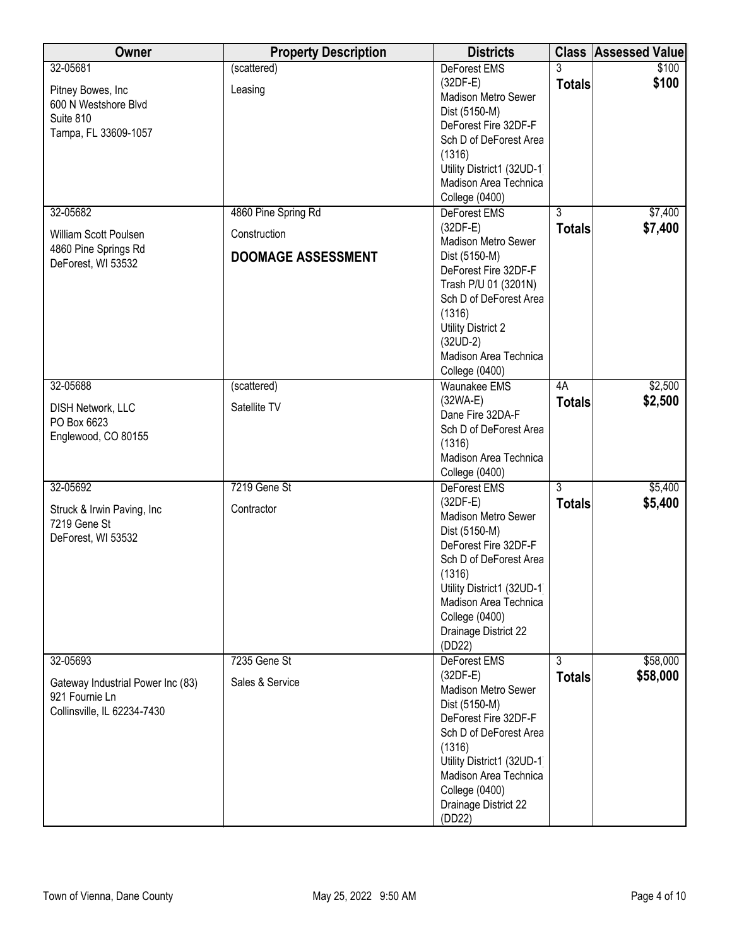| Owner                                      | <b>Property Description</b> | <b>Districts</b>                      |                | <b>Class Assessed Value</b> |
|--------------------------------------------|-----------------------------|---------------------------------------|----------------|-----------------------------|
| 32-05681                                   | (scattered)                 | <b>DeForest EMS</b>                   | 3              | \$100                       |
| Pitney Bowes, Inc                          | Leasing                     | $(32DF-E)$                            | <b>Totals</b>  | \$100                       |
| 600 N Westshore Blvd                       |                             | Madison Metro Sewer                   |                |                             |
| Suite 810                                  |                             | Dist (5150-M)                         |                |                             |
| Tampa, FL 33609-1057                       |                             | DeForest Fire 32DF-F                  |                |                             |
|                                            |                             | Sch D of DeForest Area                |                |                             |
|                                            |                             | (1316)<br>Utility District1 (32UD-1)  |                |                             |
|                                            |                             | Madison Area Technica                 |                |                             |
|                                            |                             |                                       |                |                             |
| 32-05682                                   | 4860 Pine Spring Rd         | College (0400)<br><b>DeForest EMS</b> | $\overline{3}$ | \$7,400                     |
|                                            |                             | $(32DF-E)$                            |                |                             |
| William Scott Poulsen                      | Construction                | Madison Metro Sewer                   | <b>Totals</b>  | \$7,400                     |
| 4860 Pine Springs Rd                       | <b>DOOMAGE ASSESSMENT</b>   | Dist (5150-M)                         |                |                             |
| DeForest, WI 53532                         |                             | DeForest Fire 32DF-F                  |                |                             |
|                                            |                             | Trash P/U 01 (3201N)                  |                |                             |
|                                            |                             | Sch D of DeForest Area                |                |                             |
|                                            |                             | (1316)                                |                |                             |
|                                            |                             | <b>Utility District 2</b>             |                |                             |
|                                            |                             | $(32UD-2)$                            |                |                             |
|                                            |                             | Madison Area Technica                 |                |                             |
|                                            |                             | College (0400)                        |                |                             |
| 32-05688                                   | (scattered)                 | Waunakee EMS                          | 4A             | \$2,500                     |
|                                            |                             | $(32WA-E)$                            | <b>Totals</b>  | \$2,500                     |
| DISH Network, LLC                          | Satellite TV                | Dane Fire 32DA-F                      |                |                             |
| PO Box 6623                                |                             | Sch D of DeForest Area                |                |                             |
| Englewood, CO 80155                        |                             | (1316)                                |                |                             |
|                                            |                             | Madison Area Technica                 |                |                             |
|                                            |                             | <b>College (0400)</b>                 |                |                             |
| 32-05692                                   | 7219 Gene St                | DeForest EMS                          | $\overline{3}$ | \$5,400                     |
|                                            | Contractor                  | $(32DF-E)$                            | <b>Totals</b>  | \$5,400                     |
| Struck & Irwin Paving, Inc<br>7219 Gene St |                             | Madison Metro Sewer                   |                |                             |
| DeForest, WI 53532                         |                             | Dist (5150-M)                         |                |                             |
|                                            |                             | DeForest Fire 32DF-F                  |                |                             |
|                                            |                             | Sch D of DeForest Area                |                |                             |
|                                            |                             | (1316)                                |                |                             |
|                                            |                             | Utility District1 (32UD-1)            |                |                             |
|                                            |                             | Madison Area Technica                 |                |                             |
|                                            |                             | <b>College (0400)</b>                 |                |                             |
|                                            |                             | Drainage District 22                  |                |                             |
| 32-05693                                   | 7235 Gene St                | (DD22)                                | $\overline{3}$ |                             |
|                                            |                             | DeForest EMS                          |                | \$58,000                    |
| Gateway Industrial Power Inc (83)          | Sales & Service             | $(32DF-E)$<br>Madison Metro Sewer     | <b>Totals</b>  | \$58,000                    |
| 921 Fournie Ln                             |                             | Dist (5150-M)                         |                |                             |
| Collinsville, IL 62234-7430                |                             | DeForest Fire 32DF-F                  |                |                             |
|                                            |                             | Sch D of DeForest Area                |                |                             |
|                                            |                             | (1316)                                |                |                             |
|                                            |                             | Utility District1 (32UD-1)            |                |                             |
|                                            |                             | Madison Area Technica                 |                |                             |
|                                            |                             | <b>College (0400)</b>                 |                |                             |
|                                            |                             | Drainage District 22                  |                |                             |
|                                            |                             | (DD22)                                |                |                             |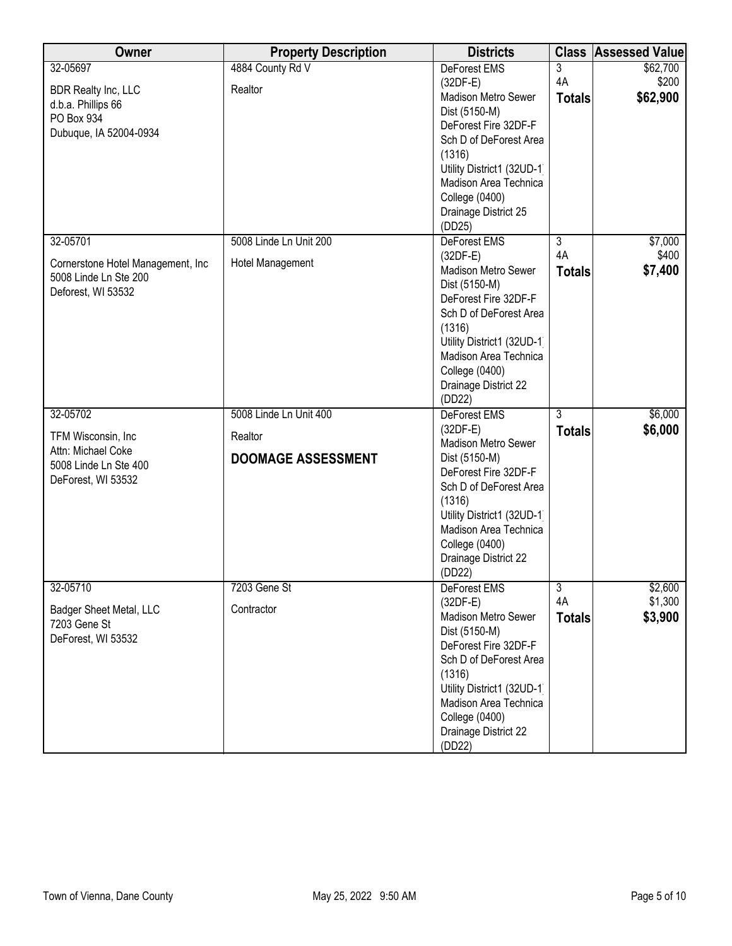| Owner                             | <b>Property Description</b> | <b>Districts</b>                               |                | <b>Class Assessed Value</b> |
|-----------------------------------|-----------------------------|------------------------------------------------|----------------|-----------------------------|
| 32-05697                          | 4884 County Rd V            | DeForest EMS                                   | $\overline{3}$ | \$62,700                    |
| <b>BDR Realty Inc, LLC</b>        | Realtor                     | $(32DF-E)$                                     | 4A             | \$200                       |
| d.b.a. Phillips 66                |                             | <b>Madison Metro Sewer</b>                     | <b>Totals</b>  | \$62,900                    |
| PO Box 934                        |                             | Dist (5150-M)<br>DeForest Fire 32DF-F          |                |                             |
| Dubuque, IA 52004-0934            |                             | Sch D of DeForest Area                         |                |                             |
|                                   |                             | (1316)                                         |                |                             |
|                                   |                             | Utility District1 (32UD-1)                     |                |                             |
|                                   |                             | Madison Area Technica                          |                |                             |
|                                   |                             | <b>College (0400)</b>                          |                |                             |
|                                   |                             | Drainage District 25                           |                |                             |
|                                   |                             | (DD25)                                         |                |                             |
| 32-05701                          | 5008 Linde Ln Unit 200      | <b>DeForest EMS</b>                            | $\overline{3}$ | \$7,000                     |
| Cornerstone Hotel Management, Inc | Hotel Management            | $(32DF-E)$                                     | 4A             | \$400                       |
| 5008 Linde Ln Ste 200             |                             | Madison Metro Sewer                            | <b>Totals</b>  | \$7,400                     |
| Deforest, WI 53532                |                             | Dist (5150-M)                                  |                |                             |
|                                   |                             | DeForest Fire 32DF-F<br>Sch D of DeForest Area |                |                             |
|                                   |                             | (1316)                                         |                |                             |
|                                   |                             | Utility District1 (32UD-1)                     |                |                             |
|                                   |                             | Madison Area Technica                          |                |                             |
|                                   |                             | <b>College (0400)</b>                          |                |                             |
|                                   |                             | Drainage District 22                           |                |                             |
|                                   |                             | (DD22)                                         |                |                             |
| 32-05702                          | 5008 Linde Ln Unit 400      | DeForest EMS                                   | $\overline{3}$ | \$6,000                     |
| TFM Wisconsin, Inc                | Realtor                     | $(32DF-E)$                                     | <b>Totals</b>  | \$6,000                     |
| Attn: Michael Coke                |                             | Madison Metro Sewer                            |                |                             |
| 5008 Linde Ln Ste 400             | <b>DOOMAGE ASSESSMENT</b>   | Dist (5150-M)<br>DeForest Fire 32DF-F          |                |                             |
| DeForest, WI 53532                |                             | Sch D of DeForest Area                         |                |                             |
|                                   |                             | (1316)                                         |                |                             |
|                                   |                             | Utility District1 (32UD-1)                     |                |                             |
|                                   |                             | Madison Area Technica                          |                |                             |
|                                   |                             | <b>College (0400)</b>                          |                |                             |
|                                   |                             | Drainage District 22                           |                |                             |
|                                   |                             | (DD22)                                         |                |                             |
| 32-05710                          | 7203 Gene St                | DeForest EMS                                   | $\overline{3}$ | \$2,600                     |
| Badger Sheet Metal, LLC           | Contractor                  | $(32DF-E)$                                     | 4A             | \$1,300                     |
| 7203 Gene St                      |                             | Madison Metro Sewer<br>Dist (5150-M)           | <b>Totals</b>  | \$3,900                     |
| DeForest, WI 53532                |                             | DeForest Fire 32DF-F                           |                |                             |
|                                   |                             | Sch D of DeForest Area                         |                |                             |
|                                   |                             | (1316)                                         |                |                             |
|                                   |                             | Utility District1 (32UD-1)                     |                |                             |
|                                   |                             | Madison Area Technica                          |                |                             |
|                                   |                             | College (0400)                                 |                |                             |
|                                   |                             | Drainage District 22                           |                |                             |
|                                   |                             | (DD22)                                         |                |                             |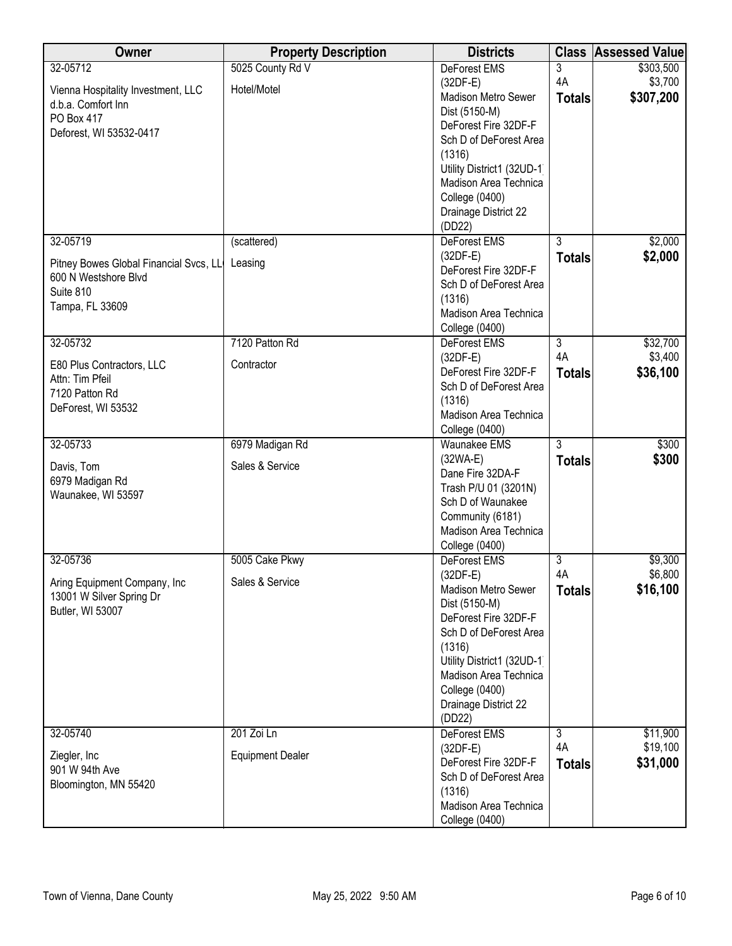| Owner                                        | <b>Property Description</b> | <b>Districts</b>                            |                | <b>Class Assessed Value</b> |
|----------------------------------------------|-----------------------------|---------------------------------------------|----------------|-----------------------------|
| 32-05712                                     | 5025 County Rd V            | <b>DeForest EMS</b>                         | 3              | \$303,500                   |
| Vienna Hospitality Investment, LLC           | Hotel/Motel                 | $(32DF-E)$                                  | 4A             | \$3,700                     |
| d.b.a. Comfort Inn                           |                             | Madison Metro Sewer                         | <b>Totals</b>  | \$307,200                   |
| PO Box 417                                   |                             | Dist (5150-M)<br>DeForest Fire 32DF-F       |                |                             |
| Deforest, WI 53532-0417                      |                             | Sch D of DeForest Area                      |                |                             |
|                                              |                             | (1316)                                      |                |                             |
|                                              |                             | Utility District1 (32UD-1)                  |                |                             |
|                                              |                             | Madison Area Technica                       |                |                             |
|                                              |                             | <b>College (0400)</b>                       |                |                             |
|                                              |                             | Drainage District 22                        |                |                             |
|                                              |                             | (DD22)                                      |                |                             |
| 32-05719                                     | (scattered)                 | DeForest EMS                                | $\overline{3}$ | \$2,000                     |
| Pitney Bowes Global Financial Svcs, LL       | Leasing                     | $(32DF-E)$                                  | <b>Totals</b>  | \$2,000                     |
| 600 N Westshore Blvd                         |                             | DeForest Fire 32DF-F                        |                |                             |
| Suite 810                                    |                             | Sch D of DeForest Area<br>(1316)            |                |                             |
| Tampa, FL 33609                              |                             | Madison Area Technica                       |                |                             |
|                                              |                             | College (0400)                              |                |                             |
| 32-05732                                     | 7120 Patton Rd              | DeForest EMS                                | $\overline{3}$ | \$32,700                    |
|                                              | Contractor                  | $(32DF-E)$                                  | 4A             | \$3,400                     |
| E80 Plus Contractors, LLC<br>Attn: Tim Pfeil |                             | DeForest Fire 32DF-F                        | <b>Totals</b>  | \$36,100                    |
| 7120 Patton Rd                               |                             | Sch D of DeForest Area                      |                |                             |
| DeForest, WI 53532                           |                             | (1316)                                      |                |                             |
|                                              |                             | Madison Area Technica                       |                |                             |
|                                              |                             | <b>College (0400)</b>                       | $\overline{3}$ |                             |
| 32-05733                                     | 6979 Madigan Rd             | <b>Waunakee EMS</b><br>$(32WA-E)$           |                | \$300<br>\$300              |
| Davis, Tom                                   | Sales & Service             | Dane Fire 32DA-F                            | <b>Totals</b>  |                             |
| 6979 Madigan Rd                              |                             | Trash P/U 01 (3201N)                        |                |                             |
| Waunakee, WI 53597                           |                             | Sch D of Waunakee                           |                |                             |
|                                              |                             | Community (6181)                            |                |                             |
|                                              |                             | Madison Area Technica                       |                |                             |
|                                              |                             | <b>College (0400)</b>                       |                |                             |
| 32-05736                                     | 5005 Cake Pkwy              | <b>DeForest EMS</b>                         | 3              | \$9,300                     |
| Aring Equipment Company, Inc                 | Sales & Service             | $(32DF-E)$                                  | 4A             | \$6,800                     |
| 13001 W Silver Spring Dr                     |                             | <b>Madison Metro Sewer</b><br>Dist (5150-M) | <b>Totals</b>  | \$16,100                    |
| Butler, WI 53007                             |                             | DeForest Fire 32DF-F                        |                |                             |
|                                              |                             | Sch D of DeForest Area                      |                |                             |
|                                              |                             | (1316)                                      |                |                             |
|                                              |                             | Utility District1 (32UD-1)                  |                |                             |
|                                              |                             | Madison Area Technica                       |                |                             |
|                                              |                             | <b>College (0400)</b>                       |                |                             |
|                                              |                             | Drainage District 22                        |                |                             |
| 32-05740                                     |                             | (DD22)                                      |                |                             |
|                                              | 201 Zoi Ln                  | <b>DeForest EMS</b><br>$(32DF-E)$           | 3<br>4A        | \$11,900<br>\$19,100        |
| Ziegler, Inc                                 | <b>Equipment Dealer</b>     | DeForest Fire 32DF-F                        | <b>Totals</b>  | \$31,000                    |
| 901 W 94th Ave                               |                             | Sch D of DeForest Area                      |                |                             |
| Bloomington, MN 55420                        |                             | (1316)                                      |                |                             |
|                                              |                             | Madison Area Technica                       |                |                             |
|                                              |                             | College (0400)                              |                |                             |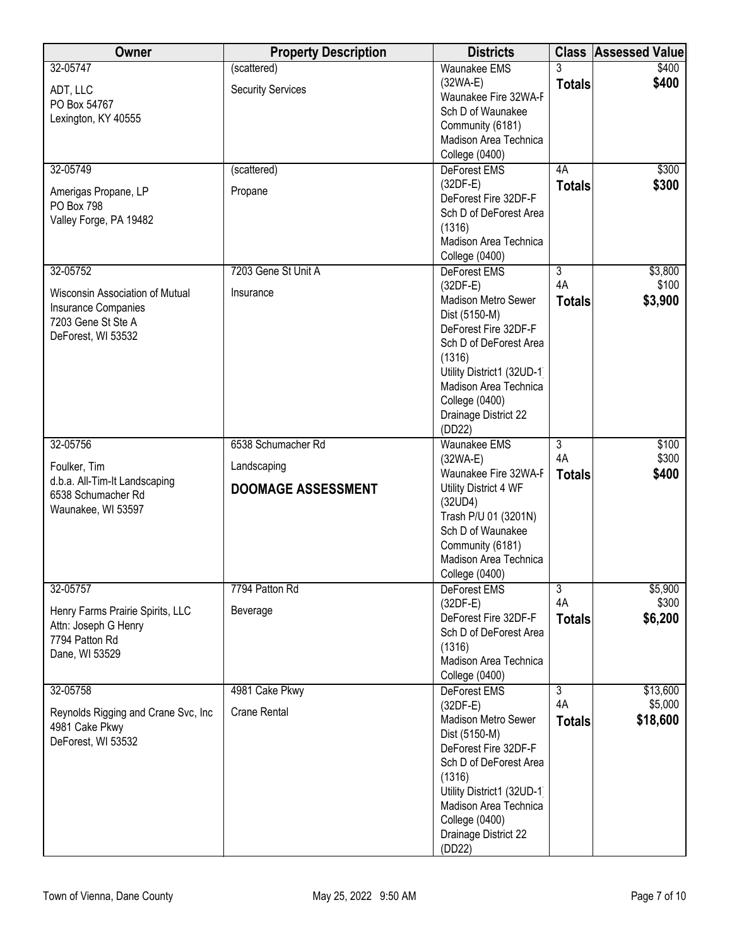| Owner                                    | <b>Property Description</b> | <b>Districts</b>                                    |                | <b>Class Assessed Value</b> |
|------------------------------------------|-----------------------------|-----------------------------------------------------|----------------|-----------------------------|
| 32-05747                                 | (scattered)                 | <b>Waunakee EMS</b>                                 |                | \$400                       |
| ADT, LLC                                 | <b>Security Services</b>    | $(32WA-E)$                                          | <b>Totals</b>  | \$400                       |
| PO Box 54767                             |                             | Waunakee Fire 32WA-F<br>Sch D of Waunakee           |                |                             |
| Lexington, KY 40555                      |                             | Community (6181)                                    |                |                             |
|                                          |                             | Madison Area Technica                               |                |                             |
|                                          |                             | <b>College (0400)</b>                               |                |                             |
| 32-05749                                 | (scattered)                 | DeForest EMS                                        | 4A             | \$300                       |
|                                          | Propane                     | $(32DF-E)$                                          | <b>Totals</b>  | \$300                       |
| Amerigas Propane, LP<br>PO Box 798       |                             | DeForest Fire 32DF-F                                |                |                             |
| Valley Forge, PA 19482                   |                             | Sch D of DeForest Area                              |                |                             |
|                                          |                             | (1316)                                              |                |                             |
|                                          |                             | Madison Area Technica<br>College (0400)             |                |                             |
| 32-05752                                 | 7203 Gene St Unit A         | <b>DeForest EMS</b>                                 | $\overline{3}$ | \$3,800                     |
|                                          |                             | $(32DF-E)$                                          | 4A             | \$100                       |
| Wisconsin Association of Mutual          | Insurance                   | Madison Metro Sewer                                 | <b>Totals</b>  | \$3,900                     |
| Insurance Companies                      |                             | Dist (5150-M)                                       |                |                             |
| 7203 Gene St Ste A<br>DeForest, WI 53532 |                             | DeForest Fire 32DF-F                                |                |                             |
|                                          |                             | Sch D of DeForest Area                              |                |                             |
|                                          |                             | (1316)                                              |                |                             |
|                                          |                             | Utility District1 (32UD-1)<br>Madison Area Technica |                |                             |
|                                          |                             | <b>College (0400)</b>                               |                |                             |
|                                          |                             | Drainage District 22                                |                |                             |
|                                          |                             | (DD22)                                              |                |                             |
| 32-05756                                 | 6538 Schumacher Rd          | <b>Waunakee EMS</b>                                 | $\overline{3}$ | \$100                       |
| Foulker, Tim                             | Landscaping                 | $(32WA-E)$                                          | 4A             | \$300                       |
| d.b.a. All-Tim-It Landscaping            |                             | Waunakee Fire 32WA-F                                | <b>Totals</b>  | \$400                       |
| 6538 Schumacher Rd                       | <b>DOOMAGE ASSESSMENT</b>   | Utility District 4 WF                               |                |                             |
| Waunakee, WI 53597                       |                             | (32UD4)<br>Trash P/U 01 (3201N)                     |                |                             |
|                                          |                             | Sch D of Waunakee                                   |                |                             |
|                                          |                             | Community (6181)                                    |                |                             |
|                                          |                             | Madison Area Technica                               |                |                             |
|                                          |                             | College (0400)                                      |                |                             |
| 32-05757                                 | 7794 Patton Rd              | DeForest EMS                                        | $\overline{3}$ | \$5,900                     |
| Henry Farms Prairie Spirits, LLC         | Beverage                    | $(32DF-E)$                                          | 4A             | \$300                       |
| Attn: Joseph G Henry                     |                             | DeForest Fire 32DF-F<br>Sch D of DeForest Area      | <b>Totals</b>  | \$6,200                     |
| 7794 Patton Rd                           |                             | (1316)                                              |                |                             |
| Dane, WI 53529                           |                             | Madison Area Technica                               |                |                             |
|                                          |                             | College (0400)                                      |                |                             |
| 32-05758                                 | 4981 Cake Pkwy              | DeForest EMS                                        | $\overline{3}$ | \$13,600                    |
| Reynolds Rigging and Crane Svc, Inc.     | <b>Crane Rental</b>         | $(32DF-E)$                                          | 4A             | \$5,000                     |
| 4981 Cake Pkwy                           |                             | Madison Metro Sewer                                 | <b>Totals</b>  | \$18,600                    |
| DeForest, WI 53532                       |                             | Dist (5150-M)                                       |                |                             |
|                                          |                             | DeForest Fire 32DF-F<br>Sch D of DeForest Area      |                |                             |
|                                          |                             | (1316)                                              |                |                             |
|                                          |                             | Utility District1 (32UD-1)                          |                |                             |
|                                          |                             | Madison Area Technica                               |                |                             |
|                                          |                             | <b>College (0400)</b>                               |                |                             |
|                                          |                             | Drainage District 22                                |                |                             |
|                                          |                             | (DD22)                                              |                |                             |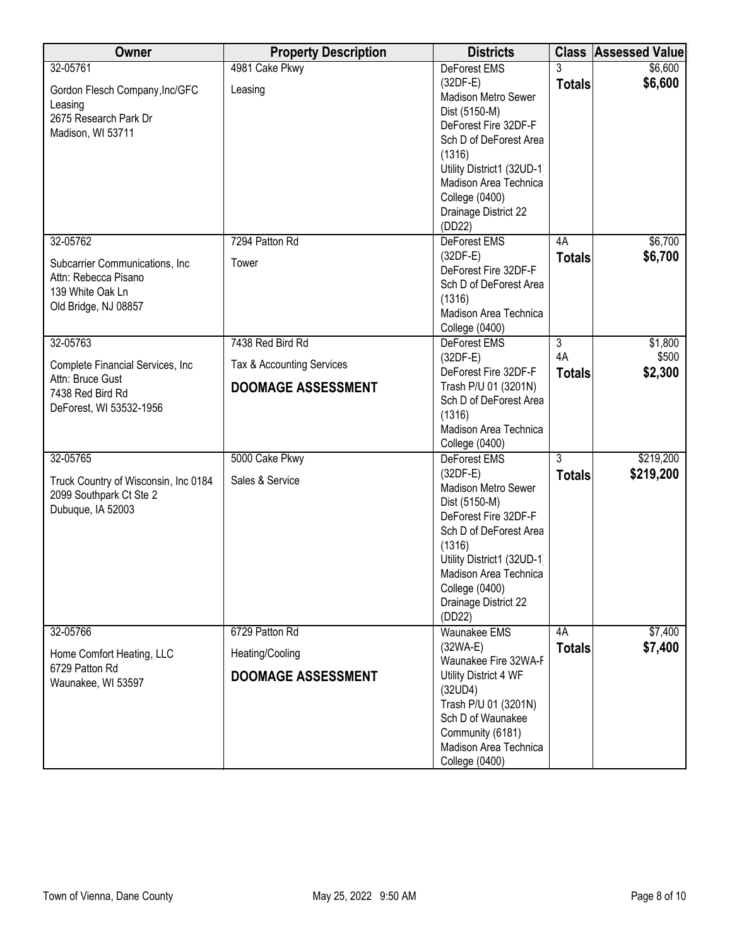| Owner                                                                                                           | <b>Property Description</b>                                                | <b>Districts</b>                                                                                                                                                                                                                                        |                                       | <b>Class Assessed Value</b> |
|-----------------------------------------------------------------------------------------------------------------|----------------------------------------------------------------------------|---------------------------------------------------------------------------------------------------------------------------------------------------------------------------------------------------------------------------------------------------------|---------------------------------------|-----------------------------|
| 32-05761<br>Gordon Flesch Company, Inc/GFC<br>Leasing<br>2675 Research Park Dr<br>Madison, WI 53711             | 4981 Cake Pkwy<br>Leasing                                                  | DeForest EMS<br>$(32DF-E)$<br><b>Madison Metro Sewer</b><br>Dist (5150-M)<br>DeForest Fire 32DF-F<br>Sch D of DeForest Area<br>(1316)<br>Utility District1 (32UD-1)<br>Madison Area Technica<br><b>College (0400)</b><br>Drainage District 22<br>(DD22) | <b>Totals</b>                         | \$6,600<br>\$6,600          |
| 32-05762<br>Subcarrier Communications, Inc<br>Attn: Rebecca Pisano<br>139 White Oak Ln<br>Old Bridge, NJ 08857  | 7294 Patton Rd<br>Tower                                                    | DeForest EMS<br>$(32DF-E)$<br>DeForest Fire 32DF-F<br>Sch D of DeForest Area<br>(1316)<br>Madison Area Technica<br><b>College (0400)</b>                                                                                                                | 4A<br><b>Totals</b>                   | \$6,700<br>\$6,700          |
| 32-05763<br>Complete Financial Services, Inc<br>Attn: Bruce Gust<br>7438 Red Bird Rd<br>DeForest, WI 53532-1956 | 7438 Red Bird Rd<br>Tax & Accounting Services<br><b>DOOMAGE ASSESSMENT</b> | DeForest EMS<br>$(32DF-E)$<br>DeForest Fire 32DF-F<br>Trash P/U 01 (3201N)<br>Sch D of DeForest Area<br>(1316)<br>Madison Area Technica<br>College (0400)                                                                                               | $\overline{3}$<br>4A<br><b>Totals</b> | \$1,800<br>\$500<br>\$2,300 |
| 32-05765<br>Truck Country of Wisconsin, Inc 0184<br>2099 Southpark Ct Ste 2<br>Dubuque, IA 52003                | 5000 Cake Pkwy<br>Sales & Service                                          | DeForest EMS<br>$(32DF-E)$<br>Madison Metro Sewer<br>Dist (5150-M)<br>DeForest Fire 32DF-F<br>Sch D of DeForest Area<br>(1316)<br>Utility District1 (32UD-1)<br>Madison Area Technica<br>College (0400)<br>Drainage District 22<br>(DD22)               | 3<br><b>Totals</b>                    | \$219,200<br>\$219,200      |
| 32-05766<br>Home Comfort Heating, LLC<br>6729 Patton Rd<br>Waunakee, WI 53597                                   | 6729 Patton Rd<br>Heating/Cooling<br><b>DOOMAGE ASSESSMENT</b>             | <b>Waunakee EMS</b><br>$(32WA-E)$<br>Waunakee Fire 32WA-F<br>Utility District 4 WF<br>(32UD4)<br>Trash P/U 01 (3201N)<br>Sch D of Waunakee<br>Community (6181)<br>Madison Area Technica<br>College (0400)                                               | 4A<br><b>Totals</b>                   | \$7,400<br>\$7,400          |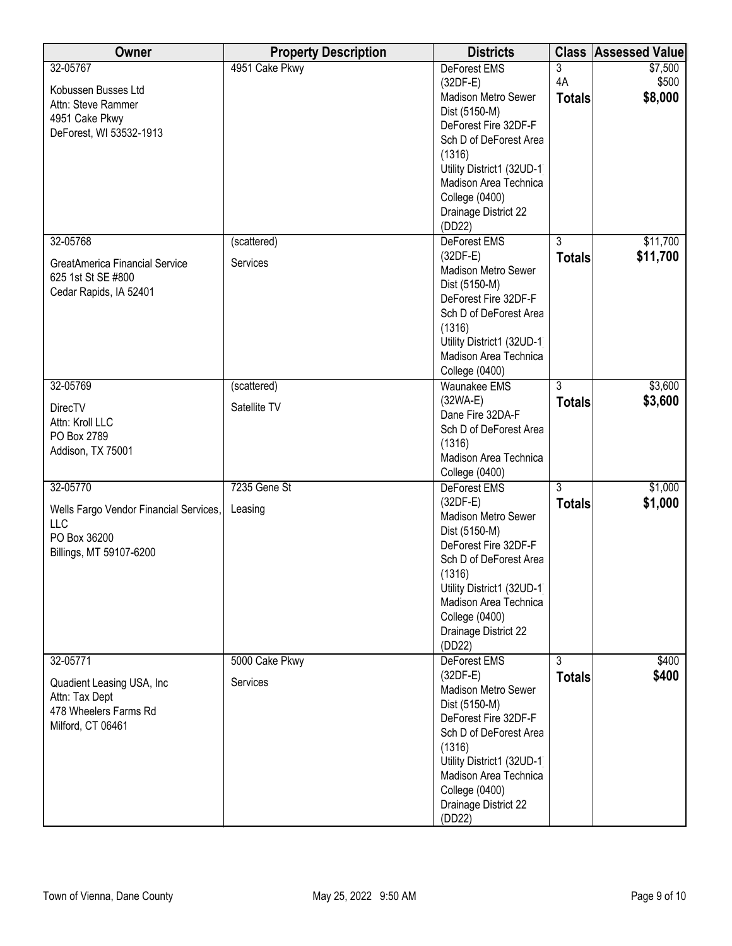| Owner                                  | <b>Property Description</b> | <b>Districts</b>                                    | <b>Class</b>   | <b>Assessed Value</b> |
|----------------------------------------|-----------------------------|-----------------------------------------------------|----------------|-----------------------|
| 32-05767                               | 4951 Cake Pkwy              | DeForest EMS                                        | 3              | \$7,500               |
| Kobussen Busses Ltd                    |                             | $(32DF-E)$                                          | 4A             | \$500                 |
| Attn: Steve Rammer                     |                             | Madison Metro Sewer                                 | <b>Totals</b>  | \$8,000               |
| 4951 Cake Pkwy                         |                             | Dist (5150-M)                                       |                |                       |
| DeForest, WI 53532-1913                |                             | DeForest Fire 32DF-F                                |                |                       |
|                                        |                             | Sch D of DeForest Area                              |                |                       |
|                                        |                             | (1316)                                              |                |                       |
|                                        |                             | Utility District1 (32UD-1)<br>Madison Area Technica |                |                       |
|                                        |                             | <b>College (0400)</b>                               |                |                       |
|                                        |                             | Drainage District 22                                |                |                       |
|                                        |                             | (DD22)                                              |                |                       |
| 32-05768                               | (scattered)                 | DeForest EMS                                        | $\overline{3}$ | \$11,700              |
|                                        |                             | $(32DF-E)$                                          | <b>Totals</b>  | \$11,700              |
| GreatAmerica Financial Service         | Services                    | <b>Madison Metro Sewer</b>                          |                |                       |
| 625 1st St SE #800                     |                             | Dist (5150-M)                                       |                |                       |
| Cedar Rapids, IA 52401                 |                             | DeForest Fire 32DF-F                                |                |                       |
|                                        |                             | Sch D of DeForest Area                              |                |                       |
|                                        |                             | (1316)                                              |                |                       |
|                                        |                             | Utility District1 (32UD-1)                          |                |                       |
|                                        |                             | Madison Area Technica                               |                |                       |
|                                        |                             | College (0400)                                      |                |                       |
| 32-05769                               | (scattered)                 | <b>Waunakee EMS</b>                                 | $\overline{3}$ | \$3,600               |
| <b>DirecTV</b>                         | Satellite TV                | $(32WA-E)$                                          | <b>Totals</b>  | \$3,600               |
| Attn: Kroll LLC                        |                             | Dane Fire 32DA-F                                    |                |                       |
| PO Box 2789                            |                             | Sch D of DeForest Area<br>(1316)                    |                |                       |
| Addison, TX 75001                      |                             | Madison Area Technica                               |                |                       |
|                                        |                             | College (0400)                                      |                |                       |
| 32-05770                               | 7235 Gene St                | DeForest EMS                                        | 3              | \$1,000               |
|                                        |                             | $(32DF-E)$                                          | <b>Totals</b>  | \$1,000               |
| Wells Fargo Vendor Financial Services, | Leasing                     | Madison Metro Sewer                                 |                |                       |
| LLC                                    |                             | Dist (5150-M)                                       |                |                       |
| PO Box 36200                           |                             | DeForest Fire 32DF-F                                |                |                       |
| Billings, MT 59107-6200                |                             | Sch D of DeForest Area                              |                |                       |
|                                        |                             | (1316)                                              |                |                       |
|                                        |                             | Utility District1 (32UD-1)                          |                |                       |
|                                        |                             | Madison Area Technica                               |                |                       |
|                                        |                             | College (0400)                                      |                |                       |
|                                        |                             | Drainage District 22                                |                |                       |
| 32-05771                               | 5000 Cake Pkwy              | (DD22)<br>DeForest EMS                              | $\overline{3}$ | \$400                 |
|                                        |                             | $(32DF-E)$                                          |                | \$400                 |
| Quadient Leasing USA, Inc              | Services                    | Madison Metro Sewer                                 | <b>Totals</b>  |                       |
| Attn: Tax Dept                         |                             | Dist (5150-M)                                       |                |                       |
| 478 Wheelers Farms Rd                  |                             | DeForest Fire 32DF-F                                |                |                       |
| Milford, CT 06461                      |                             | Sch D of DeForest Area                              |                |                       |
|                                        |                             | (1316)                                              |                |                       |
|                                        |                             | Utility District1 (32UD-1)                          |                |                       |
|                                        |                             | Madison Area Technica                               |                |                       |
|                                        |                             | <b>College (0400)</b>                               |                |                       |
|                                        |                             | Drainage District 22                                |                |                       |
|                                        |                             | (DD22)                                              |                |                       |